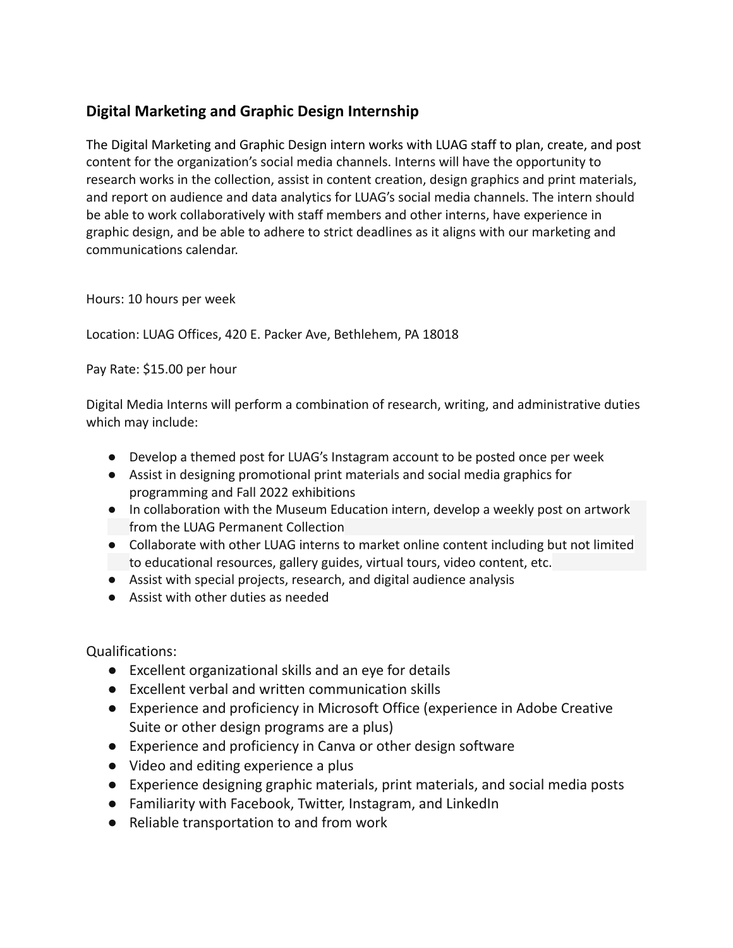## **Digital Marketing and Graphic Design Internship**

The Digital Marketing and Graphic Design intern works with LUAG staff to plan, create, and post content for the organization's social media channels. Interns will have the opportunity to research works in the collection, assist in content creation, design graphics and print materials, and report on audience and data analytics for LUAG's social media channels. The intern should be able to work collaboratively with staff members and other interns, have experience in graphic design, and be able to adhere to strict deadlines as it aligns with our marketing and communications calendar.

Hours: 10 hours per week

Location: LUAG Offices, 420 E. Packer Ave, Bethlehem, PA 18018

Pay Rate: \$15.00 per hour

Digital Media Interns will perform a combination of research, writing, and administrative duties which may include:

- Develop a themed post for LUAG's Instagram account to be posted once per week
- Assist in designing promotional print materials and social media graphics for programming and Fall 2022 exhibitions
- In collaboration with the Museum Education intern, develop a weekly post on artwork from the LUAG Permanent Collection
- Collaborate with other LUAG interns to market online content including but not limited to educational resources, gallery guides, virtual tours, video content, etc.
- Assist with special projects, research, and digital audience analysis
- Assist with other duties as needed

Qualifications:

- Excellent organizational skills and an eye for details
- Excellent verbal and written communication skills
- Experience and proficiency in Microsoft Office (experience in Adobe Creative Suite or other design programs are a plus)
- Experience and proficiency in Canva or other design software
- Video and editing experience a plus
- Experience designing graphic materials, print materials, and social media posts
- Familiarity with Facebook, Twitter, Instagram, and LinkedIn
- Reliable transportation to and from work